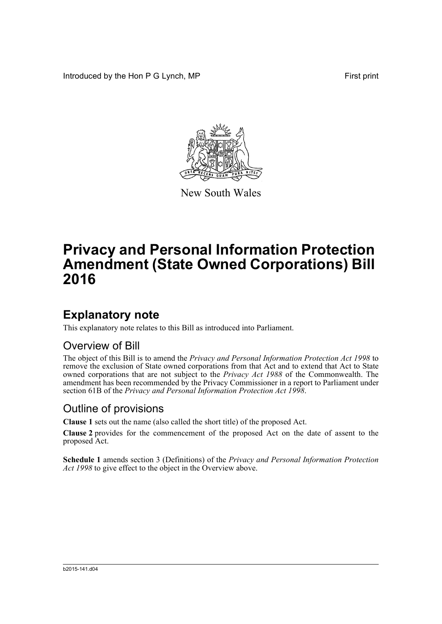Introduced by the Hon P G Lynch, MP First print



New South Wales

# **Privacy and Personal Information Protection Amendment (State Owned Corporations) Bill 2016**

### **Explanatory note**

This explanatory note relates to this Bill as introduced into Parliament.

#### Overview of Bill

The object of this Bill is to amend the *Privacy and Personal Information Protection Act 1998* to remove the exclusion of State owned corporations from that Act and to extend that Act to State owned corporations that are not subject to the *Privacy Act 1988* of the Commonwealth. The amendment has been recommended by the Privacy Commissioner in a report to Parliament under section 61B of the *Privacy and Personal Information Protection Act 1998*.

#### Outline of provisions

**Clause 1** sets out the name (also called the short title) of the proposed Act.

**Clause 2** provides for the commencement of the proposed Act on the date of assent to the proposed Act.

**Schedule 1** amends section 3 (Definitions) of the *Privacy and Personal Information Protection Act 1998* to give effect to the object in the Overview above.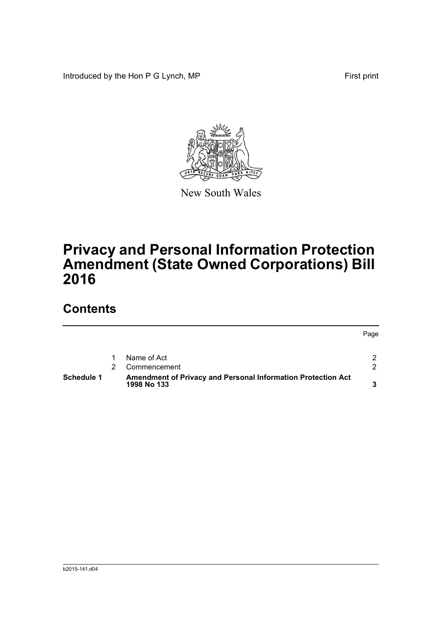Introduced by the Hon P G Lynch, MP First print



New South Wales

# **Privacy and Personal Information Protection Amendment (State Owned Corporations) Bill 2016**

## **Contents**

|            |                                                                             | Page |
|------------|-----------------------------------------------------------------------------|------|
|            | Name of Act                                                                 |      |
|            | Commencement                                                                | ົ    |
| Schedule 1 | Amendment of Privacy and Personal Information Protection Act<br>1998 No 133 |      |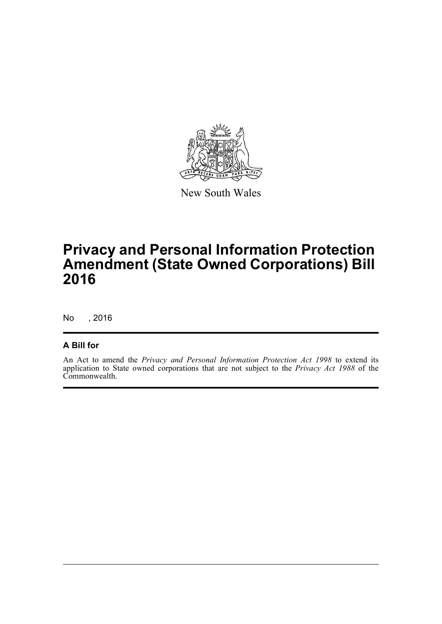

New South Wales

## **Privacy and Personal Information Protection Amendment (State Owned Corporations) Bill 2016**

No , 2016

#### **A Bill for**

An Act to amend the *Privacy and Personal Information Protection Act 1998* to extend its application to State owned corporations that are not subject to the *Privacy Act 1988* of the Commonwealth.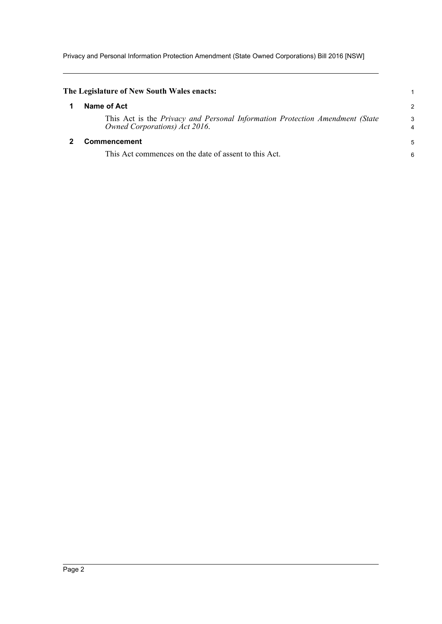Privacy and Personal Information Protection Amendment (State Owned Corporations) Bill 2016 [NSW]

<span id="page-3-1"></span><span id="page-3-0"></span>

| The Legislature of New South Wales enacts:                                                                    |        |
|---------------------------------------------------------------------------------------------------------------|--------|
| Name of Act                                                                                                   | 2      |
| This Act is the Privacy and Personal Information Protection Amendment (State<br>Owned Corporations) Act 2016. | 3<br>4 |
| <b>Commencement</b>                                                                                           | 5      |
| This Act commences on the date of assent to this Act.                                                         | 6      |
|                                                                                                               |        |